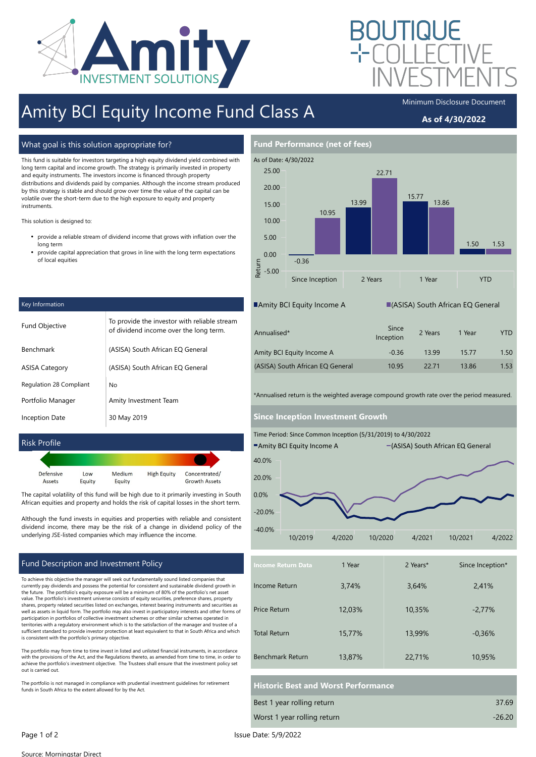

# Amity BCI Equity Income Fund Class A

### As of 4/30/2022

#### What goal is this solution appropriate for?

This fund is suitable for investors targeting a high equity dividend yield combined with long term capital and income growth. The strategy is primarily invested in property and equity instruments. The investors income is financed through property distributions and dividends paid by companies. Although the income stream produced by this strategy is stable and should grow over time the value of the capital can be volatile over the short-term due to the high exposure to equity and property **instruments** 

This solution is designed to:

- $\bullet$ provide a reliable stream of dividend income that grows with inflation over the long term
- $\bullet$ provide capital appreciation that grows in line with the long term expectations of local equities

| Key Information                |                                                                                        |  |  |
|--------------------------------|----------------------------------------------------------------------------------------|--|--|
| <b>Fund Objective</b>          | To provide the investor with reliable stream<br>of dividend income over the long term. |  |  |
| Benchmark                      | (ASISA) South African EQ General                                                       |  |  |
| <b>ASISA Category</b>          | (ASISA) South African EQ General                                                       |  |  |
| <b>Regulation 28 Compliant</b> | No                                                                                     |  |  |
| Portfolio Manager              | Amity Investment Team                                                                  |  |  |
| <b>Inception Date</b>          | 30 May 2019                                                                            |  |  |

#### Risk Profile

| Defensive | Low    | Medium | <b>High Equity</b> | Concentrated/        |
|-----------|--------|--------|--------------------|----------------------|
| Assets    | Equity | Equity |                    | <b>Growth Assets</b> |

The capital volatility of this fund will be high due to it primarily investing in South African equities and property and holds the risk of capital losses in the short term.

Although the fund invests in equities and properties with reliable and consistent dividend income, there may be the risk of a change in dividend policy of the underlying JSE-listed companies which may influence the income.

#### Fund Description and Investment Policy

To achieve this objective the manager will seek out fundamentally sound listed companies that currently pay dividends and possess the potential for consistent and sustainable dividend growth in the future. The portfolio's equity exposure will be a minimum of 80% of the portfolio's net asset value. The portfolio's investment universe consists of equity securities, preference shares, property shares, property related securities listed on exchanges, interest bearing instruments and securities as well as assets in liquid form. The portfolio may also invest in participatory interests and other forms of participation in portfolios of collective investment schemes or other similar schemes operated in territories with a regulatory environment which is to the satisfaction of the manager and trustee of a sufficient standard to provide investor protection at least equivalent to that in South Africa and which is consistent with the portfolio's primary objective.

The portfolio may from time to time invest in listed and unlisted financial instruments, in accordance with the provisions of the Act, and the Regulations thereto, as amended from time to time, in order to achieve the portfolio's investment objective. The Trustees shall ensure that the investment policy set out is carried out.

The portfolio is not managed in compliance with prudential investment guidelines for retirement funds in South Africa to the extent allowed for by the Act.



| Annualised*                      | Since<br>Inception | 2 Years | 1 Year | YTD  |
|----------------------------------|--------------------|---------|--------|------|
| Amity BCI Equity Income A        | $-0.36$            | 1399    | 1577   | 1.50 |
| (ASISA) South African EQ General | 10.95              | 22.71   | 13.86  | 1.53 |

\*Annualised return is the weighted average compound growth rate over the period measured.

#### Since Inception Investment Growth



| <b>Income Return Data</b> | 1 Year | 2 Years* | Since Inception* |
|---------------------------|--------|----------|------------------|
| Income Return             | 3,74%  | 3,64%    | 2,41%            |
| Price Return              | 12,03% | 10,35%   | $-2,77%$         |
| <b>Total Return</b>       | 15,77% | 13,99%   | $-0.36%$         |
| <b>Benchmark Return</b>   | 13,87% | 22,71%   | 10,95%           |

### Historic Best and Worst Performance

| Best 1 year rolling return  | 37.69    |
|-----------------------------|----------|
| Worst 1 year rolling return | $-26.20$ |

Source: Morningstar Direct

Page 1 of 2 Issue Date: 5/9/2022